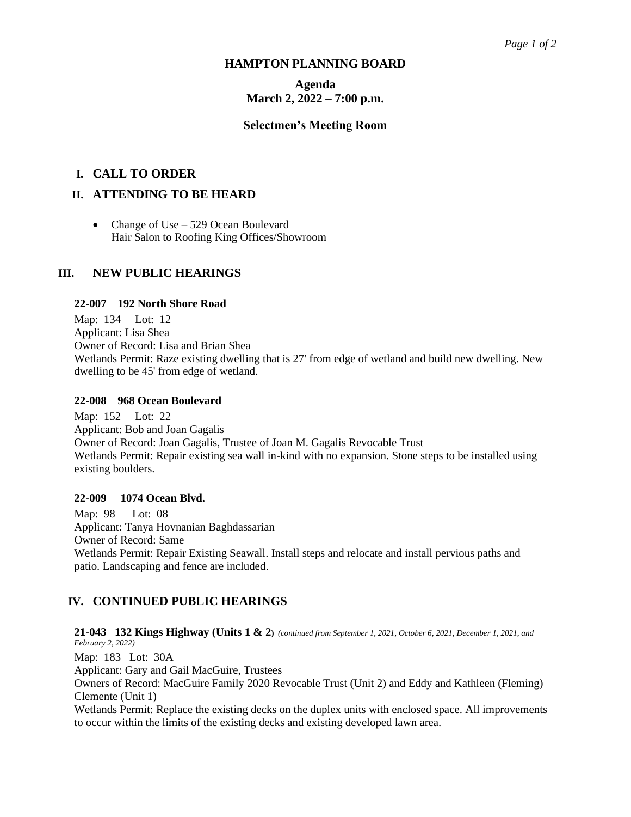#### **HAMPTON PLANNING BOARD**

# **Agenda March 2, 2022 – 7:00 p.m.**

#### **Selectmen's Meeting Room**

## **I. CALL TO ORDER**

## **II. ATTENDING TO BE HEARD**

• Change of Use – 529 Ocean Boulevard Hair Salon to Roofing King Offices/Showroom

### **III. NEW PUBLIC HEARINGS**

#### **22-007 192 North Shore Road**

Map: 134 Lot: 12 Applicant: Lisa Shea Owner of Record: Lisa and Brian Shea Wetlands Permit: Raze existing dwelling that is 27' from edge of wetland and build new dwelling. New dwelling to be 45' from edge of wetland.

#### **22-008 968 Ocean Boulevard**

Map: 152 Lot: 22 Applicant: Bob and Joan Gagalis Owner of Record: Joan Gagalis, Trustee of Joan M. Gagalis Revocable Trust Wetlands Permit: Repair existing sea wall in-kind with no expansion. Stone steps to be installed using existing boulders.

#### **22-009 1074 Ocean Blvd.**

Map: 98 Lot: 08 Applicant: Tanya Hovnanian Baghdassarian Owner of Record: Same Wetlands Permit: Repair Existing Seawall. Install steps and relocate and install pervious paths and patio. Landscaping and fence are included.

### **IV. CONTINUED PUBLIC HEARINGS**

**21-043 132 Kings Highway (Units 1 & 2)** *(continued from September 1, 2021, October 6, 2021, December 1, 2021, and February 2, 2022)*  Map: 183 Lot: 30A Applicant: Gary and Gail MacGuire, Trustees Owners of Record: MacGuire Family 2020 Revocable Trust (Unit 2) and Eddy and Kathleen (Fleming) Clemente (Unit 1) Wetlands Permit: Replace the existing decks on the duplex units with enclosed space. All improvements to occur within the limits of the existing decks and existing developed lawn area.